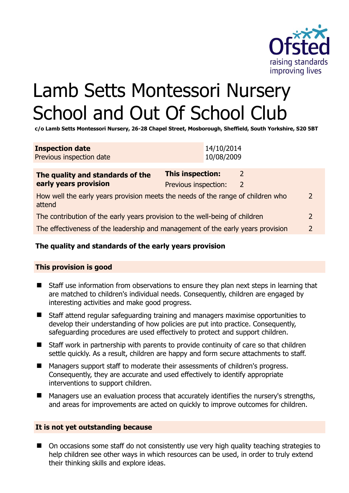

# Lamb Setts Montessori Nursery School and Out Of School Club

**c/o Lamb Setts Montessori Nursery, 26-28 Chapel Street, Mosborough, Sheffield, South Yorkshire, S20 5BT** 

| <b>Inspection date</b>   | 14/10/2014 |
|--------------------------|------------|
| Previous inspection date | 10/08/2009 |

| The quality and standards of the                                                          | <b>This inspection:</b> |   |               |
|-------------------------------------------------------------------------------------------|-------------------------|---|---------------|
| early years provision                                                                     | Previous inspection:    | 2 |               |
| How well the early years provision meets the needs of the range of children who<br>attend |                         |   |               |
| The contribution of the early years provision to the well-being of children               |                         |   |               |
| The effectiveness of the leadership and management of the early years provision           |                         |   | $\mathcal{P}$ |
|                                                                                           |                         |   |               |

# **The quality and standards of the early years provision**

#### **This provision is good**

- Staff use information from observations to ensure they plan next steps in learning that are matched to children's individual needs. Consequently, children are engaged by interesting activities and make good progress.
- Staff attend regular safeguarding training and managers maximise opportunities to develop their understanding of how policies are put into practice. Consequently, safeguarding procedures are used effectively to protect and support children.
- Staff work in partnership with parents to provide continuity of care so that children settle quickly. As a result, children are happy and form secure attachments to staff.
- Managers support staff to moderate their assessments of children's progress. Consequently, they are accurate and used effectively to identify appropriate interventions to support children.
- Managers use an evaluation process that accurately identifies the nursery's strengths, and areas for improvements are acted on quickly to improve outcomes for children.

# **It is not yet outstanding because**

■ On occasions some staff do not consistently use very high quality teaching strategies to help children see other ways in which resources can be used, in order to truly extend their thinking skills and explore ideas.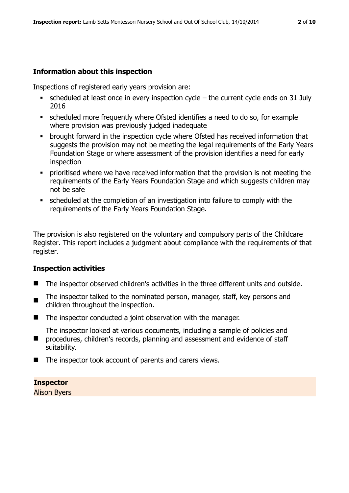## **Information about this inspection**

Inspections of registered early years provision are:

- $\bullet$  scheduled at least once in every inspection cycle the current cycle ends on 31 July 2016
- scheduled more frequently where Ofsted identifies a need to do so, for example where provision was previously judged inadequate
- **•** brought forward in the inspection cycle where Ofsted has received information that suggests the provision may not be meeting the legal requirements of the Early Years Foundation Stage or where assessment of the provision identifies a need for early inspection
- **Prioritised where we have received information that the provision is not meeting the** requirements of the Early Years Foundation Stage and which suggests children may not be safe
- scheduled at the completion of an investigation into failure to comply with the requirements of the Early Years Foundation Stage.

The provision is also registered on the voluntary and compulsory parts of the Childcare Register. This report includes a judgment about compliance with the requirements of that register.

#### **Inspection activities**

- The inspector observed children's activities in the three different units and outside.
- The inspector talked to the nominated person, manager, staff, key persons and children throughout the inspection.
- The inspector conducted a joint observation with the manager.
- $\blacksquare$ The inspector looked at various documents, including a sample of policies and procedures, children's records, planning and assessment and evidence of staff suitability.
- The inspector took account of parents and carers views.

# **Inspector**

Alison Byers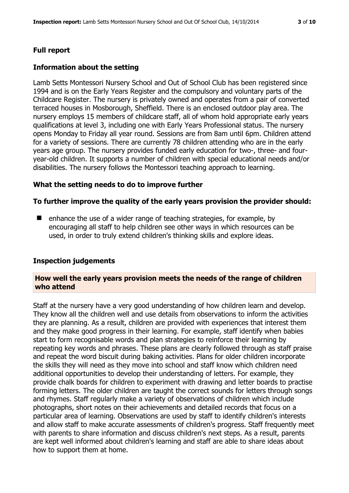# **Full report**

## **Information about the setting**

Lamb Setts Montessori Nursery School and Out of School Club has been registered since 1994 and is on the Early Years Register and the compulsory and voluntary parts of the Childcare Register. The nursery is privately owned and operates from a pair of converted terraced houses in Mosborough, Sheffield. There is an enclosed outdoor play area. The nursery employs 15 members of childcare staff, all of whom hold appropriate early years qualifications at level 3, including one with Early Years Professional status. The nursery opens Monday to Friday all year round. Sessions are from 8am until 6pm. Children attend for a variety of sessions. There are currently 78 children attending who are in the early years age group. The nursery provides funded early education for two-, three- and fouryear-old children. It supports a number of children with special educational needs and/or disabilities. The nursery follows the Montessori teaching approach to learning.

#### **What the setting needs to do to improve further**

#### **To further improve the quality of the early years provision the provider should:**

 $\blacksquare$  enhance the use of a wider range of teaching strategies, for example, by encouraging all staff to help children see other ways in which resources can be used, in order to truly extend children's thinking skills and explore ideas.

#### **Inspection judgements**

#### **How well the early years provision meets the needs of the range of children who attend**

Staff at the nursery have a very good understanding of how children learn and develop. They know all the children well and use details from observations to inform the activities they are planning. As a result, children are provided with experiences that interest them and they make good progress in their learning. For example, staff identify when babies start to form recognisable words and plan strategies to reinforce their learning by repeating key words and phrases. These plans are clearly followed through as staff praise and repeat the word biscuit during baking activities. Plans for older children incorporate the skills they will need as they move into school and staff know which children need additional opportunities to develop their understanding of letters. For example, they provide chalk boards for children to experiment with drawing and letter boards to practise forming letters. The older children are taught the correct sounds for letters through songs and rhymes. Staff regularly make a variety of observations of children which include photographs, short notes on their achievements and detailed records that focus on a particular area of learning. Observations are used by staff to identify children's interests and allow staff to make accurate assessments of children's progress. Staff frequently meet with parents to share information and discuss children's next steps. As a result, parents are kept well informed about children's learning and staff are able to share ideas about how to support them at home.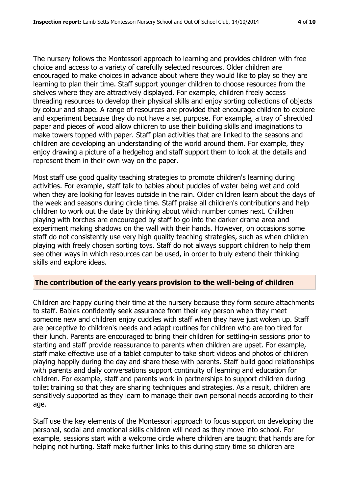The nursery follows the Montessori approach to learning and provides children with free choice and access to a variety of carefully selected resources. Older children are encouraged to make choices in advance about where they would like to play so they are learning to plan their time. Staff support younger children to choose resources from the shelves where they are attractively displayed. For example, children freely access threading resources to develop their physical skills and enjoy sorting collections of objects by colour and shape. A range of resources are provided that encourage children to explore and experiment because they do not have a set purpose. For example, a tray of shredded paper and pieces of wood allow children to use their building skills and imaginations to make towers topped with paper. Staff plan activities that are linked to the seasons and children are developing an understanding of the world around them. For example, they enjoy drawing a picture of a hedgehog and staff support them to look at the details and represent them in their own way on the paper.

Most staff use good quality teaching strategies to promote children's learning during activities. For example, staff talk to babies about puddles of water being wet and cold when they are looking for leaves outside in the rain. Older children learn about the days of the week and seasons during circle time. Staff praise all children's contributions and help children to work out the date by thinking about which number comes next. Children playing with torches are encouraged by staff to go into the darker drama area and experiment making shadows on the wall with their hands. However, on occasions some staff do not consistently use very high quality teaching strategies, such as when children playing with freely chosen sorting toys. Staff do not always support children to help them see other ways in which resources can be used, in order to truly extend their thinking skills and explore ideas.

# **The contribution of the early years provision to the well-being of children**

Children are happy during their time at the nursery because they form secure attachments to staff. Babies confidently seek assurance from their key person when they meet someone new and children enjoy cuddles with staff when they have just woken up. Staff are perceptive to children's needs and adapt routines for children who are too tired for their lunch. Parents are encouraged to bring their children for settling-in sessions prior to starting and staff provide reassurance to parents when children are upset. For example, staff make effective use of a tablet computer to take short videos and photos of children playing happily during the day and share these with parents. Staff build good relationships with parents and daily conversations support continuity of learning and education for children. For example, staff and parents work in partnerships to support children during toilet training so that they are sharing techniques and strategies. As a result, children are sensitively supported as they learn to manage their own personal needs according to their age.

Staff use the key elements of the Montessori approach to focus support on developing the personal, social and emotional skills children will need as they move into school. For example, sessions start with a welcome circle where children are taught that hands are for helping not hurting. Staff make further links to this during story time so children are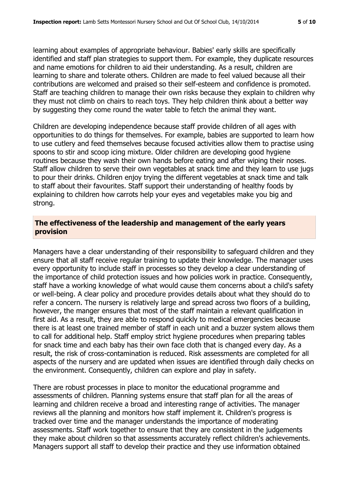learning about examples of appropriate behaviour. Babies' early skills are specifically identified and staff plan strategies to support them. For example, they duplicate resources and name emotions for children to aid their understanding. As a result, children are learning to share and tolerate others. Children are made to feel valued because all their contributions are welcomed and praised so their self-esteem and confidence is promoted. Staff are teaching children to manage their own risks because they explain to children why they must not climb on chairs to reach toys. They help children think about a better way by suggesting they come round the water table to fetch the animal they want.

Children are developing independence because staff provide children of all ages with opportunities to do things for themselves. For example, babies are supported to learn how to use cutlery and feed themselves because focused activities allow them to practise using spoons to stir and scoop icing mixture. Older children are developing good hygiene routines because they wash their own hands before eating and after wiping their noses. Staff allow children to serve their own vegetables at snack time and they learn to use jugs to pour their drinks. Children enjoy trying the different vegetables at snack time and talk to staff about their favourites. Staff support their understanding of healthy foods by explaining to children how carrots help your eyes and vegetables make you big and strong.

#### **The effectiveness of the leadership and management of the early years provision**

Managers have a clear understanding of their responsibility to safeguard children and they ensure that all staff receive regular training to update their knowledge. The manager uses every opportunity to include staff in processes so they develop a clear understanding of the importance of child protection issues and how policies work in practice. Consequently, staff have a working knowledge of what would cause them concerns about a child's safety or well-being. A clear policy and procedure provides details about what they should do to refer a concern. The nursery is relatively large and spread across two floors of a building, however, the manger ensures that most of the staff maintain a relevant qualification in first aid. As a result, they are able to respond quickly to medical emergencies because there is at least one trained member of staff in each unit and a buzzer system allows them to call for additional help. Staff employ strict hygiene procedures when preparing tables for snack time and each baby has their own face cloth that is changed every day. As a result, the risk of cross-contamination is reduced. Risk assessments are completed for all aspects of the nursery and are updated when issues are identified through daily checks on the environment. Consequently, children can explore and play in safety.

There are robust processes in place to monitor the educational programme and assessments of children. Planning systems ensure that staff plan for all the areas of learning and children receive a broad and interesting range of activities. The manager reviews all the planning and monitors how staff implement it. Children's progress is tracked over time and the manager understands the importance of moderating assessments. Staff work together to ensure that they are consistent in the judgements they make about children so that assessments accurately reflect children's achievements. Managers support all staff to develop their practice and they use information obtained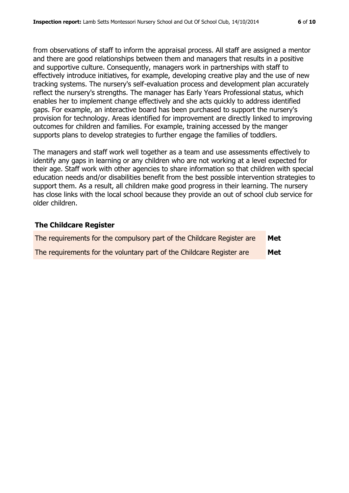from observations of staff to inform the appraisal process. All staff are assigned a mentor and there are good relationships between them and managers that results in a positive and supportive culture. Consequently, managers work in partnerships with staff to effectively introduce initiatives, for example, developing creative play and the use of new tracking systems. The nursery's self-evaluation process and development plan accurately reflect the nursery's strengths. The manager has Early Years Professional status, which enables her to implement change effectively and she acts quickly to address identified gaps. For example, an interactive board has been purchased to support the nursery's provision for technology. Areas identified for improvement are directly linked to improving outcomes for children and families. For example, training accessed by the manger supports plans to develop strategies to further engage the families of toddlers.

The managers and staff work well together as a team and use assessments effectively to identify any gaps in learning or any children who are not working at a level expected for their age. Staff work with other agencies to share information so that children with special education needs and/or disabilities benefit from the best possible intervention strategies to support them. As a result, all children make good progress in their learning. The nursery has close links with the local school because they provide an out of school club service for older children.

#### **The Childcare Register**

| The requirements for the compulsory part of the Childcare Register are | Met |
|------------------------------------------------------------------------|-----|
| The requirements for the voluntary part of the Childcare Register are  | Met |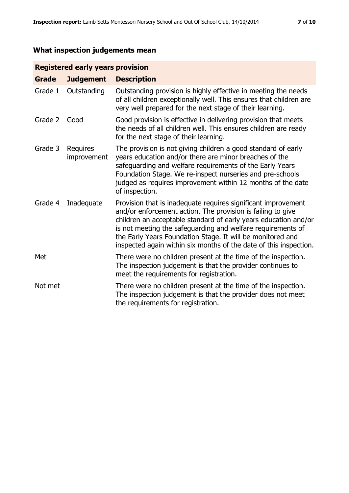# **What inspection judgements mean**

# **Registered early years provision**

| <b>Grade</b> | <b>Judgement</b>               | <b>Description</b>                                                                                                                                                                                                                                                                                                                                                                                |
|--------------|--------------------------------|---------------------------------------------------------------------------------------------------------------------------------------------------------------------------------------------------------------------------------------------------------------------------------------------------------------------------------------------------------------------------------------------------|
| Grade 1      | Outstanding                    | Outstanding provision is highly effective in meeting the needs<br>of all children exceptionally well. This ensures that children are<br>very well prepared for the next stage of their learning.                                                                                                                                                                                                  |
| Grade 2      | Good                           | Good provision is effective in delivering provision that meets<br>the needs of all children well. This ensures children are ready<br>for the next stage of their learning.                                                                                                                                                                                                                        |
| Grade 3      | <b>Requires</b><br>improvement | The provision is not giving children a good standard of early<br>years education and/or there are minor breaches of the<br>safeguarding and welfare requirements of the Early Years<br>Foundation Stage. We re-inspect nurseries and pre-schools<br>judged as requires improvement within 12 months of the date<br>of inspection.                                                                 |
| Grade 4      | Inadequate                     | Provision that is inadequate requires significant improvement<br>and/or enforcement action. The provision is failing to give<br>children an acceptable standard of early years education and/or<br>is not meeting the safeguarding and welfare requirements of<br>the Early Years Foundation Stage. It will be monitored and<br>inspected again within six months of the date of this inspection. |
| Met          |                                | There were no children present at the time of the inspection.<br>The inspection judgement is that the provider continues to<br>meet the requirements for registration.                                                                                                                                                                                                                            |
| Not met      |                                | There were no children present at the time of the inspection.<br>The inspection judgement is that the provider does not meet<br>the requirements for registration.                                                                                                                                                                                                                                |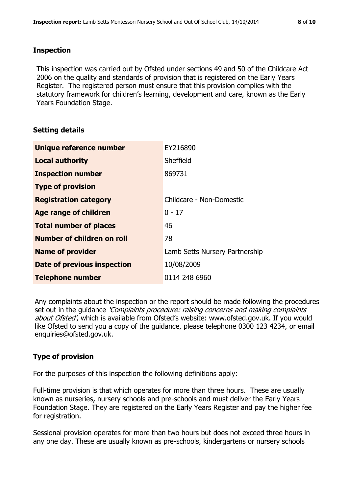#### **Inspection**

This inspection was carried out by Ofsted under sections 49 and 50 of the Childcare Act 2006 on the quality and standards of provision that is registered on the Early Years Register. The registered person must ensure that this provision complies with the statutory framework for children's learning, development and care, known as the Early Years Foundation Stage.

#### **Setting details**

| Unique reference number       | EY216890                       |
|-------------------------------|--------------------------------|
| <b>Local authority</b>        | Sheffield                      |
| <b>Inspection number</b>      | 869731                         |
| <b>Type of provision</b>      |                                |
| <b>Registration category</b>  | Childcare - Non-Domestic       |
| Age range of children         | $0 - 17$                       |
| <b>Total number of places</b> | 46                             |
| Number of children on roll    | 78                             |
| <b>Name of provider</b>       | Lamb Setts Nursery Partnership |
| Date of previous inspection   | 10/08/2009                     |
| <b>Telephone number</b>       | 0114 248 6960                  |

Any complaints about the inspection or the report should be made following the procedures set out in the guidance *'Complaints procedure: raising concerns and making complaints* about Ofsted', which is available from Ofsted's website: www.ofsted.gov.uk. If you would like Ofsted to send you a copy of the guidance, please telephone 0300 123 4234, or email enquiries@ofsted.gov.uk.

# **Type of provision**

For the purposes of this inspection the following definitions apply:

Full-time provision is that which operates for more than three hours. These are usually known as nurseries, nursery schools and pre-schools and must deliver the Early Years Foundation Stage. They are registered on the Early Years Register and pay the higher fee for registration.

Sessional provision operates for more than two hours but does not exceed three hours in any one day. These are usually known as pre-schools, kindergartens or nursery schools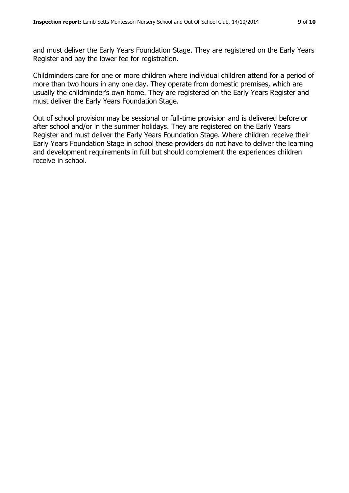and must deliver the Early Years Foundation Stage. They are registered on the Early Years Register and pay the lower fee for registration.

Childminders care for one or more children where individual children attend for a period of more than two hours in any one day. They operate from domestic premises, which are usually the childminder's own home. They are registered on the Early Years Register and must deliver the Early Years Foundation Stage.

Out of school provision may be sessional or full-time provision and is delivered before or after school and/or in the summer holidays. They are registered on the Early Years Register and must deliver the Early Years Foundation Stage. Where children receive their Early Years Foundation Stage in school these providers do not have to deliver the learning and development requirements in full but should complement the experiences children receive in school.